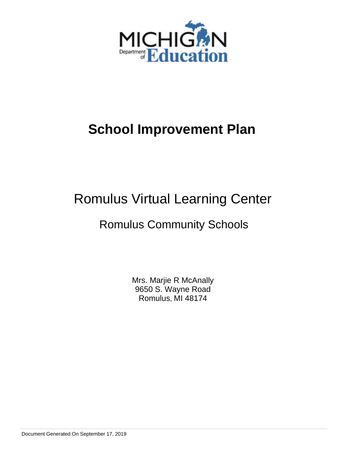

# **School Improvement Plan**

# Romulus Virtual Learning Center

## Romulus Community Schools

Mrs. Marjie R McAnally 9650 S. Wayne Road Romulus, MI 48174

Document Generated On September 17, 2019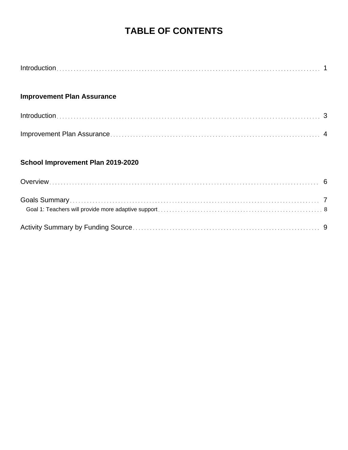## **TABLE OF CONTENTS**

|--|

### **Improvement Plan Assurance**

### **School Improvement Plan 2019-2020**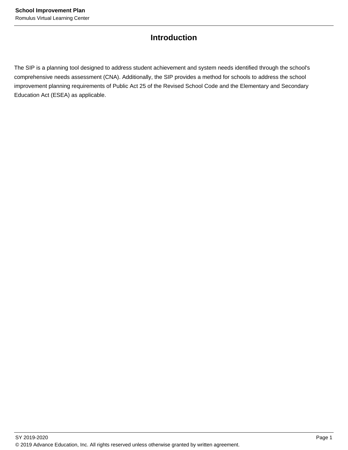### **Introduction**

The SIP is a planning tool designed to address student achievement and system needs identified through the school's comprehensive needs assessment (CNA). Additionally, the SIP provides a method for schools to address the school improvement planning requirements of Public Act 25 of the Revised School Code and the Elementary and Secondary Education Act (ESEA) as applicable.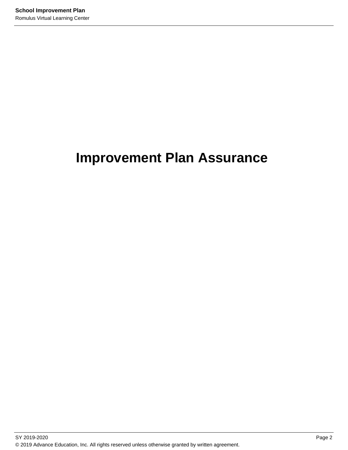# **Improvement Plan Assurance**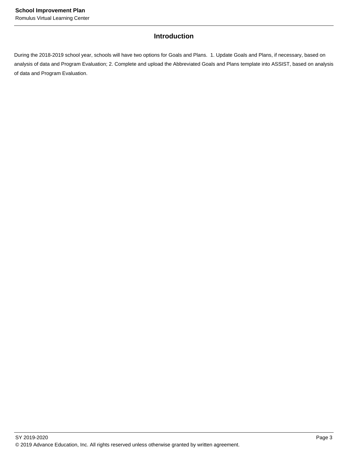#### **Introduction**

During the 2018-2019 school year, schools will have two options for Goals and Plans. 1. Update Goals and Plans, if necessary, based on analysis of data and Program Evaluation; 2. Complete and upload the Abbreviated Goals and Plans template into ASSIST, based on analysis of data and Program Evaluation.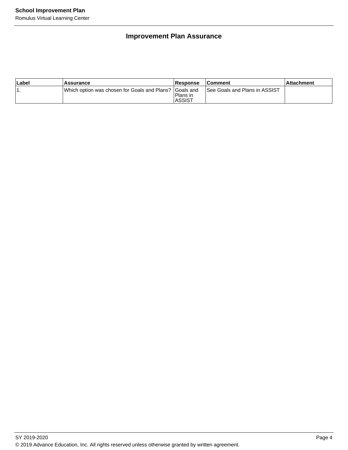### **Improvement Plan Assurance**

| Label | Assurance                                                | <b>Response</b>            | <b>Comment</b>                | ⊺Attachment |
|-------|----------------------------------------------------------|----------------------------|-------------------------------|-------------|
| . .   | IWhich option was chosen for Goals and Plans? IGoals and | Plans in<br><b>IASSIST</b> | See Goals and Plans in ASSIST |             |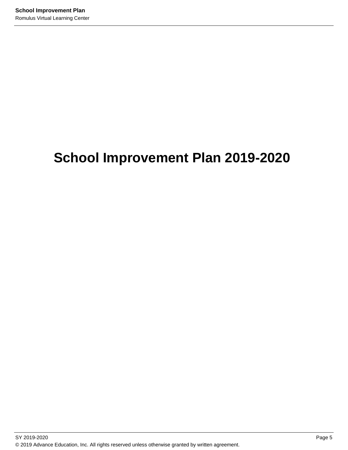# **School Improvement Plan 2019-2020**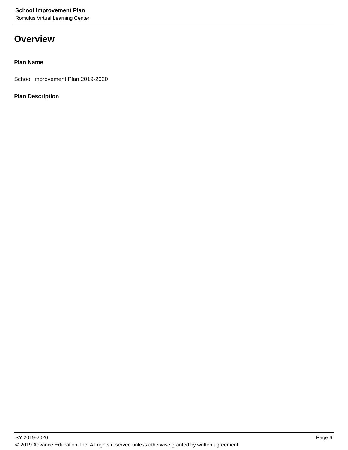Romulus Virtual Learning Center

### **Overview**

#### **Plan Name**

School Improvement Plan 2019-2020

#### **Plan Description**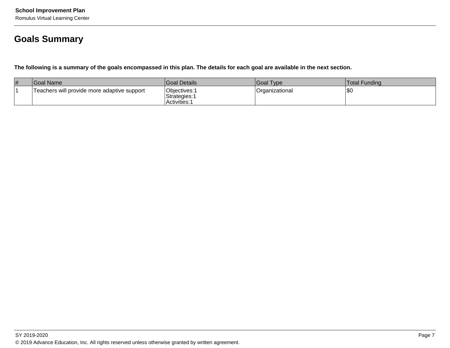## **Goals Summary**

**The following is a summary of the goals encompassed in this plan. The details for each goal are available in the next section.**

| # | <b>Goal Name</b>                            | <b>Goal Details</b>                         | Goal Type       | Total Funding |
|---|---------------------------------------------|---------------------------------------------|-----------------|---------------|
|   | Teachers will provide more adaptive support | Objectives: 1<br>Strategies:<br>Activities: | ⊦Organizational | \$0           |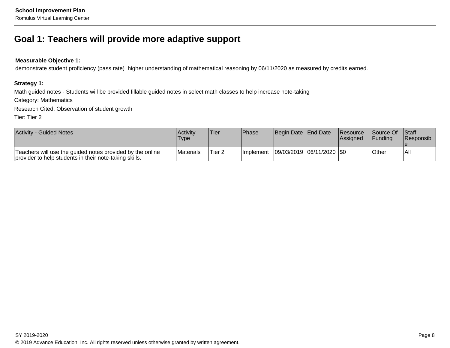### **Goal 1: Teachers will provide more adaptive support**

#### **Measurable Objective 1:**

demonstrate student proficiency (pass rate) higher understanding of mathematical reasoning by 06/11/2020 as measured by credits earned.

#### **Strategy 1:**

Math guided notes - Students will be provided fillable guided notes in select math classes to help increase note-taking

Category: Mathematics

Research Cited: Observation of student growth

Tier: Tier 2

| <b>Activity - Guided Notes</b>                                                                                      | Activity<br><b>Type</b> | Tier              | <b>Phase</b> | Begin Date End Date                       | <b>Resource</b><br>lAssianed | <b>Source Of Staff</b><br><b>IFunding</b> | <b>Responsibl</b> |
|---------------------------------------------------------------------------------------------------------------------|-------------------------|-------------------|--------------|-------------------------------------------|------------------------------|-------------------------------------------|-------------------|
| Teachers will use the guided notes provided by the online<br>provider to help students in their note-taking skills. | Materials               | Tier <sub>2</sub> |              | Implement   09/03/2019   06/11/2020   \$0 |                              | Other                                     | All               |